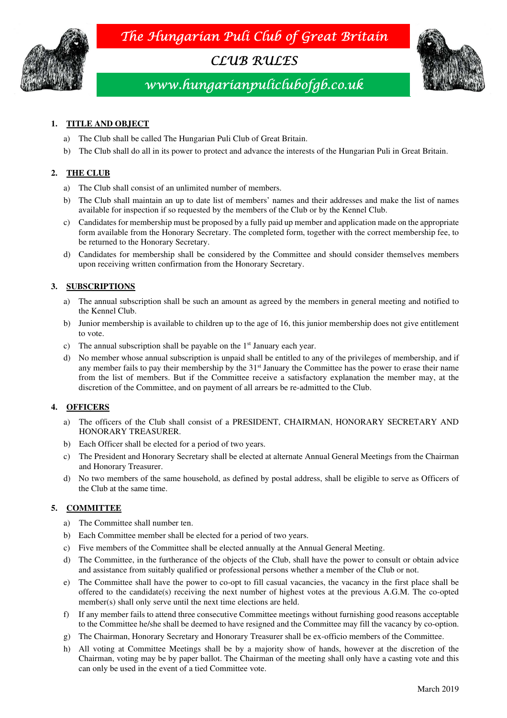The Hungarian Puli Club of Great Britain



CLUB RULES



# www.hungarianpuliclubofgb.co.uk

# **1. TITLE AND OBJECT**

- a) The Club shall be called The Hungarian Puli Club of Great Britain.
- b) The Club shall do all in its power to protect and advance the interests of the Hungarian Puli in Great Britain.

## **2. THE CLUB**

- a) The Club shall consist of an unlimited number of members.
- b) The Club shall maintain an up to date list of members' names and their addresses and make the list of names available for inspection if so requested by the members of the Club or by the Kennel Club.
- c) Candidates for membership must be proposed by a fully paid up member and application made on the appropriate form available from the Honorary Secretary. The completed form, together with the correct membership fee, to be returned to the Honorary Secretary.
- d) Candidates for membership shall be considered by the Committee and should consider themselves members upon receiving written confirmation from the Honorary Secretary.

## **3. SUBSCRIPTIONS**

- a) The annual subscription shall be such an amount as agreed by the members in general meeting and notified to the Kennel Club.
- b) Junior membership is available to children up to the age of 16, this junior membership does not give entitlement to vote.
- c) The annual subscription shall be payable on the 1<sup>st</sup> January each year.
- d) No member whose annual subscription is unpaid shall be entitled to any of the privileges of membership, and if any member fails to pay their membership by the 31<sup>st</sup> January the Committee has the power to erase their name from the list of members. But if the Committee receive a satisfactory explanation the member may, at the discretion of the Committee, and on payment of all arrears be re-admitted to the Club.

## **4. OFFICERS**

- a) The officers of the Club shall consist of a PRESIDENT, CHAIRMAN, HONORARY SECRETARY AND HONORARY TREASURER.
- b) Each Officer shall be elected for a period of two years.
- c) The President and Honorary Secretary shall be elected at alternate Annual General Meetings from the Chairman and Honorary Treasurer.
- d) No two members of the same household, as defined by postal address, shall be eligible to serve as Officers of the Club at the same time.

## **5. COMMITTEE**

- a) The Committee shall number ten.
- b) Each Committee member shall be elected for a period of two years.
- c) Five members of the Committee shall be elected annually at the Annual General Meeting.
- d) The Committee, in the furtherance of the objects of the Club, shall have the power to consult or obtain advice and assistance from suitably qualified or professional persons whether a member of the Club or not.
- e) The Committee shall have the power to co-opt to fill casual vacancies, the vacancy in the first place shall be offered to the candidate(s) receiving the next number of highest votes at the previous A.G.M. The co-opted member(s) shall only serve until the next time elections are held.
- f) If any member fails to attend three consecutive Committee meetings without furnishing good reasons acceptable to the Committee he/she shall be deemed to have resigned and the Committee may fill the vacancy by co-option.
- g) The Chairman, Honorary Secretary and Honorary Treasurer shall be ex-officio members of the Committee.
- h) All voting at Committee Meetings shall be by a majority show of hands, however at the discretion of the Chairman, voting may be by paper ballot. The Chairman of the meeting shall only have a casting vote and this can only be used in the event of a tied Committee vote.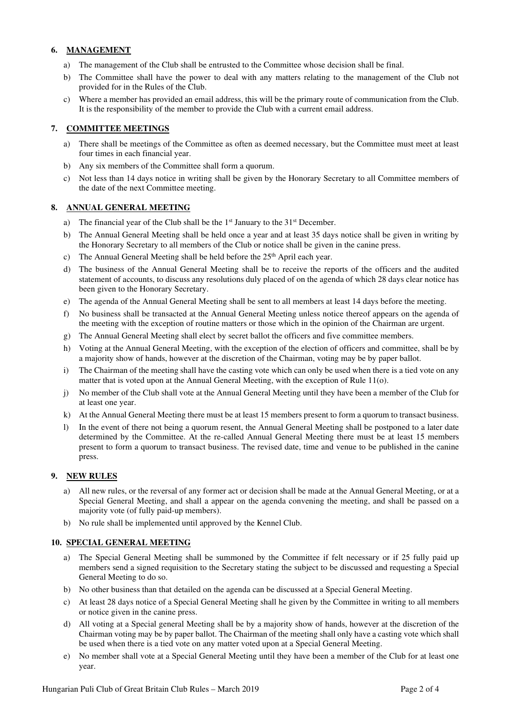## **6. MANAGEMENT**

- a) The management of the Club shall be entrusted to the Committee whose decision shall be final.
- b) The Committee shall have the power to deal with any matters relating to the management of the Club not provided for in the Rules of the Club.
- c) Where a member has provided an email address, this will be the primary route of communication from the Club. It is the responsibility of the member to provide the Club with a current email address.

## **7. COMMITTEE MEETINGS**

- a) There shall be meetings of the Committee as often as deemed necessary, but the Committee must meet at least four times in each financial year.
- b) Any six members of the Committee shall form a quorum.
- c) Not less than 14 days notice in writing shall be given by the Honorary Secretary to all Committee members of the date of the next Committee meeting.

#### **8. ANNUAL GENERAL MEETING**

- a) The financial year of the Club shall be the  $1<sup>st</sup>$  January to the  $31<sup>st</sup>$  December.
- b) The Annual General Meeting shall be held once a year and at least 35 days notice shall be given in writing by the Honorary Secretary to all members of the Club or notice shall be given in the canine press.
- c) The Annual General Meeting shall be held before the  $25<sup>th</sup>$  April each year.
- d) The business of the Annual General Meeting shall be to receive the reports of the officers and the audited statement of accounts, to discuss any resolutions duly placed of on the agenda of which 28 days clear notice has been given to the Honorary Secretary.
- e) The agenda of the Annual General Meeting shall be sent to all members at least 14 days before the meeting.
- f) No business shall be transacted at the Annual General Meeting unless notice thereof appears on the agenda of the meeting with the exception of routine matters or those which in the opinion of the Chairman are urgent.
- g) The Annual General Meeting shall elect by secret ballot the officers and five committee members.
- h) Voting at the Annual General Meeting, with the exception of the election of officers and committee, shall be by a majority show of hands, however at the discretion of the Chairman, voting may be by paper ballot.
- i) The Chairman of the meeting shall have the casting vote which can only be used when there is a tied vote on any matter that is voted upon at the Annual General Meeting, with the exception of Rule 11(o).
- j) No member of the Club shall vote at the Annual General Meeting until they have been a member of the Club for at least one year.
- k) At the Annual General Meeting there must be at least 15 members present to form a quorum to transact business.
- l) In the event of there not being a quorum resent, the Annual General Meeting shall be postponed to a later date determined by the Committee. At the re-called Annual General Meeting there must be at least 15 members present to form a quorum to transact business. The revised date, time and venue to be published in the canine press.

## **9. NEW RULES**

- a) All new rules, or the reversal of any former act or decision shall be made at the Annual General Meeting, or at a Special General Meeting, and shall a appear on the agenda convening the meeting, and shall be passed on a majority vote (of fully paid-up members).
- b) No rule shall be implemented until approved by the Kennel Club.

## **10. SPECIAL GENERAL MEETING**

- a) The Special General Meeting shall be summoned by the Committee if felt necessary or if 25 fully paid up members send a signed requisition to the Secretary stating the subject to be discussed and requesting a Special General Meeting to do so.
- b) No other business than that detailed on the agenda can be discussed at a Special General Meeting.
- c) At least 28 days notice of a Special General Meeting shall he given by the Committee in writing to all members or notice given in the canine press.
- d) All voting at a Special general Meeting shall be by a majority show of hands, however at the discretion of the Chairman voting may be by paper ballot. The Chairman of the meeting shall only have a casting vote which shall be used when there is a tied vote on any matter voted upon at a Special General Meeting.
- e) No member shall vote at a Special General Meeting until they have been a member of the Club for at least one year.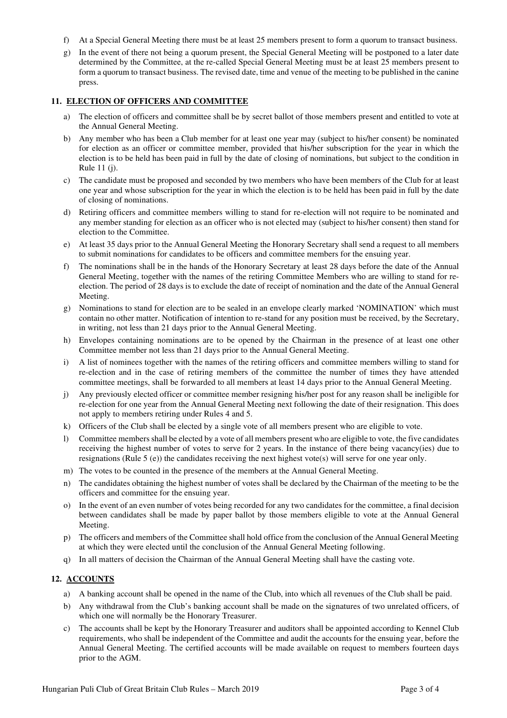- f) At a Special General Meeting there must be at least 25 members present to form a quorum to transact business.
- g) In the event of there not being a quorum present, the Special General Meeting will be postponed to a later date determined by the Committee, at the re-called Special General Meeting must be at least 25 members present to form a quorum to transact business. The revised date, time and venue of the meeting to be published in the canine press.

#### **11. ELECTION OF OFFICERS AND COMMITTEE**

- a) The election of officers and committee shall be by secret ballot of those members present and entitled to vote at the Annual General Meeting.
- b) Any member who has been a Club member for at least one year may (subject to his/her consent) be nominated for election as an officer or committee member, provided that his/her subscription for the year in which the election is to be held has been paid in full by the date of closing of nominations, but subject to the condition in Rule 11 (j).
- c) The candidate must be proposed and seconded by two members who have been members of the Club for at least one year and whose subscription for the year in which the election is to be held has been paid in full by the date of closing of nominations.
- d) Retiring officers and committee members willing to stand for re-election will not require to be nominated and any member standing for election as an officer who is not elected may (subject to his/her consent) then stand for election to the Committee.
- e) At least 35 days prior to the Annual General Meeting the Honorary Secretary shall send a request to all members to submit nominations for candidates to be officers and committee members for the ensuing year.
- f) The nominations shall be in the hands of the Honorary Secretary at least 28 days before the date of the Annual General Meeting, together with the names of the retiring Committee Members who are willing to stand for reelection. The period of 28 days is to exclude the date of receipt of nomination and the date of the Annual General Meeting.
- g) Nominations to stand for election are to be sealed in an envelope clearly marked 'NOMINATION' which must contain no other matter. Notification of intention to re-stand for any position must be received, by the Secretary, in writing, not less than 21 days prior to the Annual General Meeting.
- h) Envelopes containing nominations are to be opened by the Chairman in the presence of at least one other Committee member not less than 21 days prior to the Annual General Meeting.
- i) A list of nominees together with the names of the retiring officers and committee members willing to stand for re-election and in the case of retiring members of the committee the number of times they have attended committee meetings, shall be forwarded to all members at least 14 days prior to the Annual General Meeting.
- j) Any previously elected officer or committee member resigning his/her post for any reason shall be ineligible for re-election for one year from the Annual General Meeting next following the date of their resignation. This does not apply to members retiring under Rules 4 and 5.
- k) Officers of the Club shall be elected by a single vote of all members present who are eligible to vote.
- l) Committee members shall be elected by a vote of all members present who are eligible to vote, the five candidates receiving the highest number of votes to serve for 2 years. In the instance of there being vacancy(ies) due to resignations (Rule 5 (e)) the candidates receiving the next highest vote(s) will serve for one year only.
- m) The votes to be counted in the presence of the members at the Annual General Meeting.
- n) The candidates obtaining the highest number of votes shall be declared by the Chairman of the meeting to be the officers and committee for the ensuing year.
- o) In the event of an even number of votes being recorded for any two candidates for the committee, a final decision between candidates shall be made by paper ballot by those members eligible to vote at the Annual General Meeting.
- p) The officers and members of the Committee shall hold office from the conclusion of the Annual General Meeting at which they were elected until the conclusion of the Annual General Meeting following.
- q) In all matters of decision the Chairman of the Annual General Meeting shall have the casting vote.

## **12. ACCOUNTS**

- a) A banking account shall be opened in the name of the Club, into which all revenues of the Club shall be paid.
- b) Any withdrawal from the Club's banking account shall be made on the signatures of two unrelated officers, of which one will normally be the Honorary Treasurer.
- c) The accounts shall be kept by the Honorary Treasurer and auditors shall be appointed according to Kennel Club requirements, who shall be independent of the Committee and audit the accounts for the ensuing year, before the Annual General Meeting. The certified accounts will be made available on request to members fourteen days prior to the AGM.